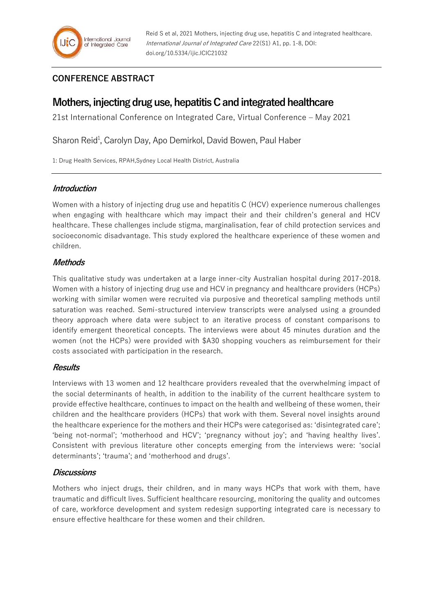## **CONFERENCE ABSTRACT**

# **Mothers, injecting drug use, hepatitis C and integrated healthcare**

21st International Conference on Integrated Care, Virtual Conference – May 2021

Sharon Reid<sup>1</sup>, Carolyn Day, Apo Demirkol, David Bowen, Paul Haber

1: Drug Health Services, RPAH,Sydney Local Health District, Australia

### **Introduction**

Women with a history of injecting drug use and hepatitis C (HCV) experience numerous challenges when engaging with healthcare which may impact their and their children's general and HCV healthcare. These challenges include stigma, marginalisation, fear of child protection services and socioeconomic disadvantage. This study explored the healthcare experience of these women and children.

## **Methods**

This qualitative study was undertaken at a large inner-city Australian hospital during 2017-2018. Women with a history of injecting drug use and HCV in pregnancy and healthcare providers (HCPs) working with similar women were recruited via purposive and theoretical sampling methods until saturation was reached. Semi-structured interview transcripts were analysed using a grounded theory approach where data were subject to an iterative process of constant comparisons to identify emergent theoretical concepts. The interviews were about 45 minutes duration and the women (not the HCPs) were provided with \$A30 shopping vouchers as reimbursement for their costs associated with participation in the research.

## **Results**

Interviews with 13 women and 12 healthcare providers revealed that the overwhelming impact of the social determinants of health, in addition to the inability of the current healthcare system to provide effective healthcare, continues to impact on the health and wellbeing of these women, their children and the healthcare providers (HCPs) that work with them. Several novel insights around the healthcare experience for the mothers and their HCPs were categorised as: 'disintegrated care'; 'being not-normal'; 'motherhood and HCV'; 'pregnancy without joy'; and 'having healthy lives'. Consistent with previous literature other concepts emerging from the interviews were: 'social determinants'; 'trauma'; and 'motherhood and drugs'.

## **Discussions**

Mothers who inject drugs, their children, and in many ways HCPs that work with them, have traumatic and difficult lives. Sufficient healthcare resourcing, monitoring the quality and outcomes of care, workforce development and system redesign supporting integrated care is necessary to ensure effective healthcare for these women and their children.